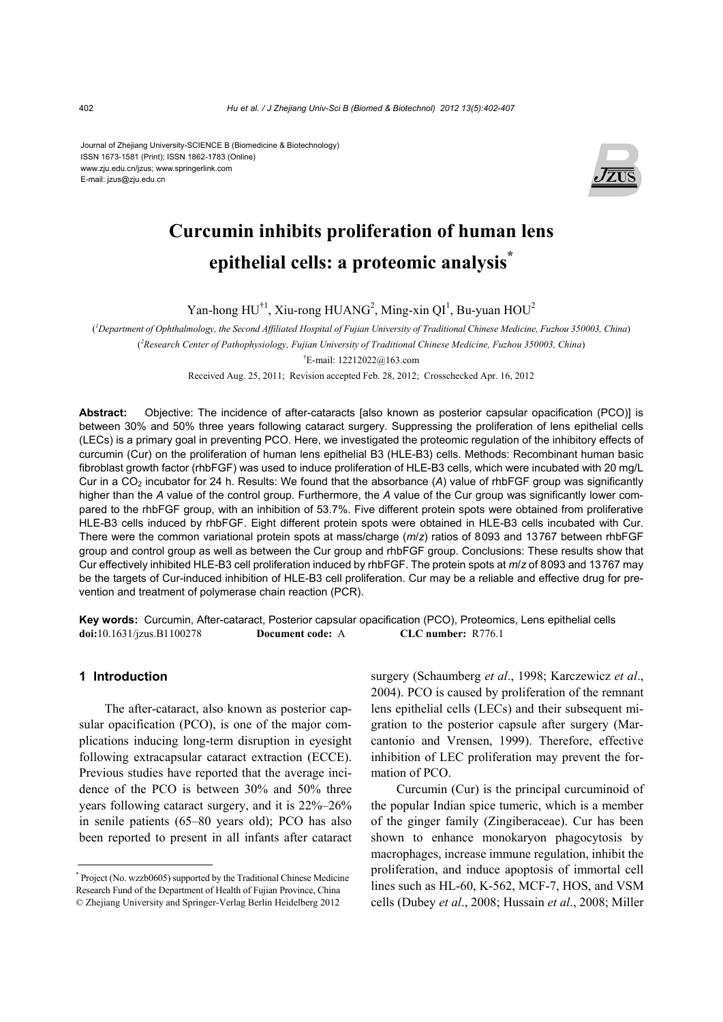Journal of Zhejiang University-SCIENCE B (Biomedicine & Biotechnology) ISSN 1673-1581 (Print); ISSN 1862-1783 (Online) www.zju.edu.cn/jzus; www.springerlink.com E-mail: jzus@zju.edu.cn



# **Curcumin inhibits proliferation of human lens epithelial cells: a proteomic analysis\***

Yan-hong  $HU^{\dagger 1}$ , Xiu-rong HUANG<sup>2</sup>, Ming-xin QI<sup>1</sup>, Bu-yuan HOU<sup>2</sup>

( *1 Department of Ophthalmology, the Second Affiliated Hospital of Fujian University of Traditional Chinese Medicine, Fuzhou 350003, China*) ( *2 Research Center of Pathophysiology, Fujian University of Traditional Chinese Medicine, Fuzhou 350003, China*)

† E-mail: 12212022@163.com

Received Aug. 25, 2011; Revision accepted Feb. 28, 2012; Crosschecked Apr. 16, 2012

**Abstract:** Objective: The incidence of after-cataracts [also known as posterior capsular opacification (PCO)] is between 30% and 50% three years following cataract surgery. Suppressing the proliferation of lens epithelial cells (LECs) is a primary goal in preventing PCO. Here, we investigated the proteomic regulation of the inhibitory effects of curcumin (Cur) on the proliferation of human lens epithelial B3 (HLE-B3) cells. Methods: Recombinant human basic fibroblast growth factor (rhbFGF) was used to induce proliferation of HLE-B3 cells, which were incubated with 20 mg/L Cur in a CO2 incubator for 24 h. Results: We found that the absorbance (*A*) value of rhbFGF group was significantly higher than the *A* value of the control group. Furthermore, the *A* value of the Cur group was significantly lower compared to the rhbFGF group, with an inhibition of 53.7%. Five different protein spots were obtained from proliferative HLE-B3 cells induced by rhbFGF. Eight different protein spots were obtained in HLE-B3 cells incubated with Cur. There were the common variational protein spots at mass/charge (*m*/*z*) ratios of 8093 and 13767 between rhbFGF group and control group as well as between the Cur group and rhbFGF group. Conclusions: These results show that Cur effectively inhibited HLE-B3 cell proliferation induced by rhbFGF. The protein spots at *m*/*z* of 8093 and 13767 may be the targets of Cur-induced inhibition of HLE-B3 cell proliferation. Cur may be a reliable and effective drug for prevention and treatment of polymerase chain reaction (PCR).

**Key words:** Curcumin, After-cataract, Posterior capsular opacification (PCO), Proteomics, Lens epithelial cells **doi:**10.1631/jzus.B1100278 **Document code:** A **CLC number:** R776.1

## **1 Introduction**

The after-cataract, also known as posterior capsular opacification (PCO), is one of the major complications inducing long-term disruption in eyesight following extracapsular cataract extraction (ECCE). Previous studies have reported that the average incidence of the PCO is between 30% and 50% three years following cataract surgery, and it is 22%–26% in senile patients (65–80 years old); PCO has also been reported to present in all infants after cataract surgery (Schaumberg *et al*., 1998; Karczewicz *et al*., 2004). PCO is caused by proliferation of the remnant lens epithelial cells (LECs) and their subsequent migration to the posterior capsule after surgery (Marcantonio and Vrensen, 1999). Therefore, effective inhibition of LEC proliferation may prevent the formation of PCO.

Curcumin (Cur) is the principal curcuminoid of the popular Indian spice tumeric, which is a member of the ginger family (Zingiberaceae). Cur has been shown to enhance monokaryon phagocytosis by macrophages, increase immune regulation, inhibit the proliferation, and induce apoptosis of immortal cell lines such as HL-60, K-562, MCF-7, HOS, and VSM cells (Dubey *et al*., 2008; Hussain *et al*., 2008; Miller

<sup>\*</sup> Project (No. wzzb0605) supported by the Traditional Chinese Medicine Research Fund of the Department of Health of Fujian Province, China © Zhejiang University and Springer-Verlag Berlin Heidelberg 2012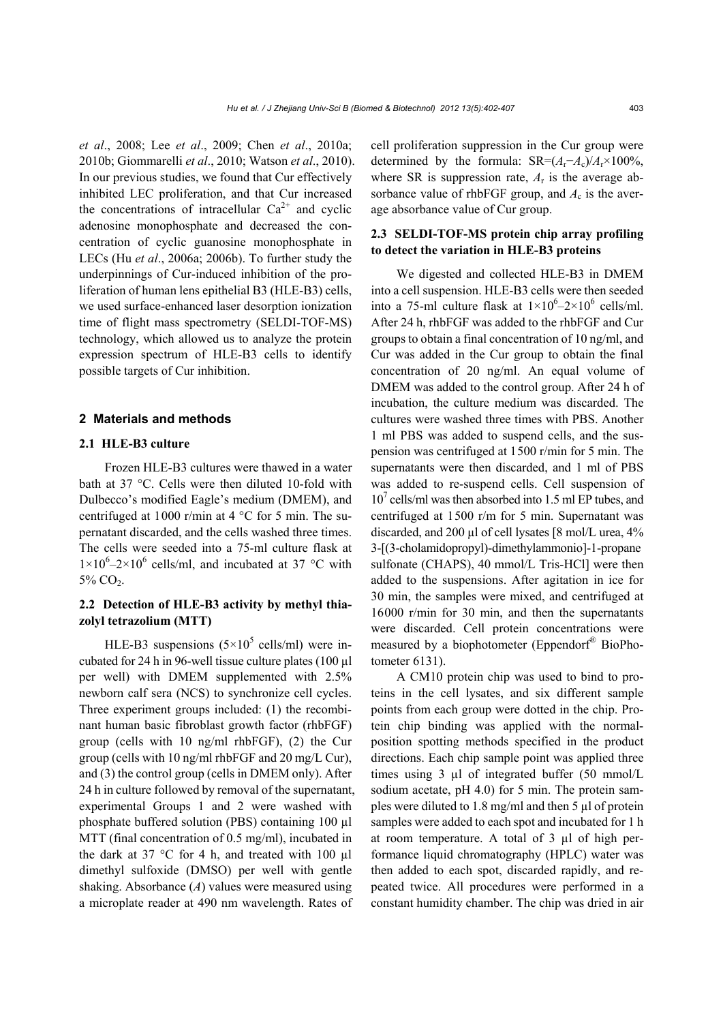*et al*., 2008; Lee *et al*., 2009; Chen *et al*., 2010a; 2010b; Giommarelli *et al*., 2010; Watson *et al*., 2010). In our previous studies, we found that Cur effectively inhibited LEC proliferation, and that Cur increased the concentrations of intracellular  $Ca^{2+}$  and cyclic adenosine monophosphate and decreased the concentration of cyclic guanosine monophosphate in LECs (Hu *et al*., 2006a; 2006b). To further study the underpinnings of Cur-induced inhibition of the proliferation of human lens epithelial B3 (HLE-B3) cells, we used surface-enhanced laser desorption ionization time of flight mass spectrometry (SELDI-TOF-MS) technology, which allowed us to analyze the protein expression spectrum of HLE-B3 cells to identify possible targets of Cur inhibition.

## **2 Materials and methods**

## **2.1 HLE-B3 culture**

Frozen HLE-B3 cultures were thawed in a water bath at 37 °C. Cells were then diluted 10-fold with Dulbecco's modified Eagle's medium (DMEM), and centrifuged at 1000 r/min at 4 °C for 5 min. The supernatant discarded, and the cells washed three times. The cells were seeded into a 75-ml culture flask at  $1\times10^{6}-2\times10^{6}$  cells/ml, and incubated at 37 °C with 5% CO<sub>2</sub>.

## **2.2 Detection of HLE-B3 activity by methyl thiazolyl tetrazolium (MTT)**

HLE-B3 suspensions  $(5\times10^{5} \text{ cells/ml})$  were incubated for 24 h in 96-well tissue culture plates (100 µl per well) with DMEM supplemented with 2.5% newborn calf sera (NCS) to synchronize cell cycles. Three experiment groups included: (1) the recombinant human basic fibroblast growth factor (rhbFGF) group (cells with 10 ng/ml rhbFGF), (2) the Cur group (cells with 10 ng/ml rhbFGF and 20 mg/L Cur), and (3) the control group (cells in DMEM only). After 24 h in culture followed by removal of the supernatant, experimental Groups 1 and 2 were washed with phosphate buffered solution (PBS) containing 100 µl MTT (final concentration of 0.5 mg/ml), incubated in the dark at 37  $\degree$ C for 4 h, and treated with 100 µl dimethyl sulfoxide (DMSO) per well with gentle shaking. Absorbance (*A*) values were measured using a microplate reader at 490 nm wavelength. Rates of cell proliferation suppression in the Cur group were determined by the formula:  $SR=(A_r-A_c)/A_r \times 100\%$ , where SR is suppression rate,  $A_r$  is the average absorbance value of rhbFGF group, and  $A_c$  is the average absorbance value of Cur group.

## **2.3 SELDI-TOF-MS protein chip array profiling to detect the variation in HLE-B3 proteins**

We digested and collected HLE-B3 in DMEM into a cell suspension. HLE-B3 cells were then seeded into a 75-ml culture flask at  $1 \times 10^6 - 2 \times 10^6$  cells/ml. After 24 h, rhbFGF was added to the rhbFGF and Cur groups to obtain a final concentration of 10 ng/ml, and Cur was added in the Cur group to obtain the final concentration of 20 ng/ml. An equal volume of DMEM was added to the control group. After 24 h of incubation, the culture medium was discarded. The cultures were washed three times with PBS. Another 1 ml PBS was added to suspend cells, and the suspension was centrifuged at 1500 r/min for 5 min. The supernatants were then discarded, and 1 ml of PBS was added to re-suspend cells. Cell suspension of 107 cells/ml was then absorbed into 1.5 ml EP tubes, and centrifuged at 1500 r/m for 5 min. Supernatant was discarded, and 200 µl of cell lysates [8 mol/L urea, 4% 3-[(3-cholamidopropyl)-dimethylammonio]-1-propane sulfonate (CHAPS), 40 mmol/L Tris-HCl] were then added to the suspensions. After agitation in ice for 30 min, the samples were mixed, and centrifuged at 16000 r/min for 30 min, and then the supernatants were discarded. Cell protein concentrations were measured by a biophotometer (Eppendorf® BioPhotometer 6131).

A CM10 protein chip was used to bind to proteins in the cell lysates, and six different sample points from each group were dotted in the chip. Protein chip binding was applied with the normalposition spotting methods specified in the product directions. Each chip sample point was applied three times using 3 µl of integrated buffer (50 mmol/L sodium acetate, pH 4.0) for 5 min. The protein samples were diluted to 1.8 mg/ml and then 5 µl of protein samples were added to each spot and incubated for 1 h at room temperature. A total of 3 µl of high performance liquid chromatography (HPLC) water was then added to each spot, discarded rapidly, and repeated twice. All procedures were performed in a constant humidity chamber. The chip was dried in air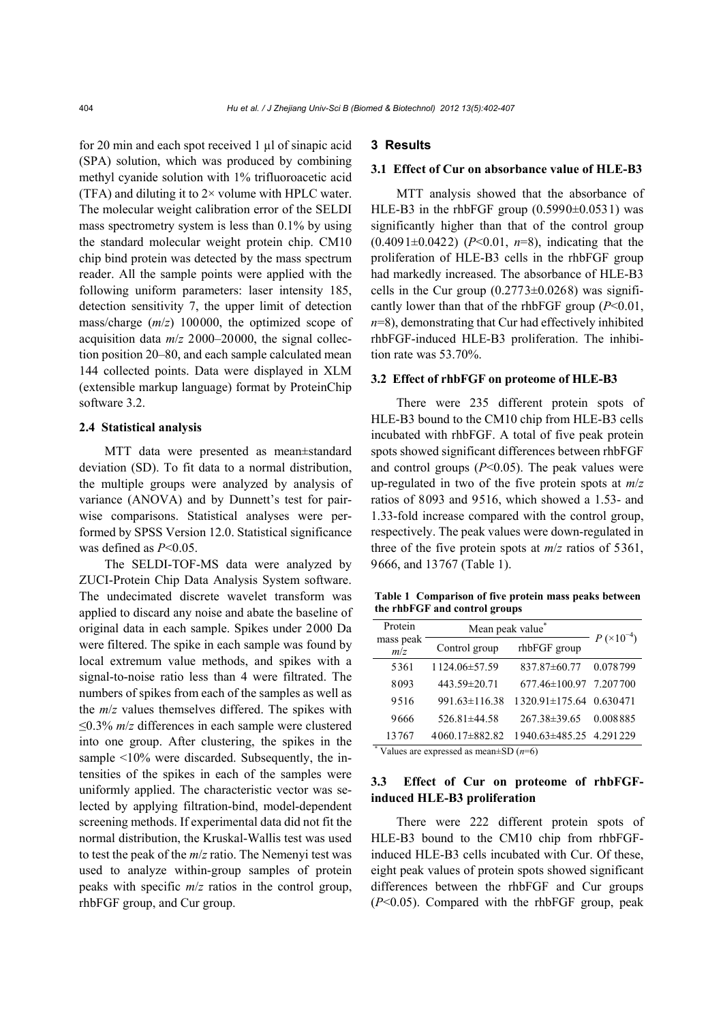for 20 min and each spot received 1 µl of sinapic acid (SPA) solution, which was produced by combining methyl cyanide solution with 1% trifluoroacetic acid (TFA) and diluting it to  $2 \times$  volume with HPLC water. The molecular weight calibration error of the SELDI mass spectrometry system is less than 0.1% by using the standard molecular weight protein chip. CM10 chip bind protein was detected by the mass spectrum reader. All the sample points were applied with the following uniform parameters: laser intensity 185, detection sensitivity 7, the upper limit of detection mass/charge (*m*/*z*) 100000, the optimized scope of acquisition data *m*/*z* 2000–20000, the signal collection position 20–80, and each sample calculated mean 144 collected points. Data were displayed in XLM (extensible markup language) format by ProteinChip software 3.2.

#### **2.4 Statistical analysis**

MTT data were presented as mean±standard deviation (SD). To fit data to a normal distribution, the multiple groups were analyzed by analysis of variance (ANOVA) and by Dunnett's test for pairwise comparisons. Statistical analyses were performed by SPSS Version 12.0. Statistical significance was defined as *P*<0.05.

The SELDI-TOF-MS data were analyzed by ZUCI-Protein Chip Data Analysis System software. The undecimated discrete wavelet transform was applied to discard any noise and abate the baseline of original data in each sample. Spikes under 2000 Da were filtered. The spike in each sample was found by local extremum value methods, and spikes with a signal-to-noise ratio less than 4 were filtrated. The numbers of spikes from each of the samples as well as the *m*/*z* values themselves differed. The spikes with ≤0.3% *m*/*z* differences in each sample were clustered into one group. After clustering, the spikes in the sample <10% were discarded. Subsequently, the intensities of the spikes in each of the samples were uniformly applied. The characteristic vector was selected by applying filtration-bind, model-dependent screening methods. If experimental data did not fit the normal distribution, the Kruskal-Wallis test was used to test the peak of the *m*/*z* ratio. The Nemenyi test was used to analyze within-group samples of protein peaks with specific *m*/*z* ratios in the control group, rhbFGF group, and Cur group.

## **3 Results**

#### **3.1 Effect of Cur on absorbance value of HLE-B3**

MTT analysis showed that the absorbance of HLE-B3 in the rhbFGF group  $(0.5990\pm0.0531)$  was significantly higher than that of the control group (0.4091±0.0422) (*P*<0.01, *n*=8), indicating that the proliferation of HLE-B3 cells in the rhbFGF group had markedly increased. The absorbance of HLE-B3 cells in the Cur group  $(0.2773\pm0.0268)$  was significantly lower than that of the rhbFGF group (*P*<0.01, *n*=8), demonstrating that Cur had effectively inhibited rhbFGF-induced HLE-B3 proliferation. The inhibition rate was 53.70%.

## **3.2 Effect of rhbFGF on proteome of HLE-B3**

There were 235 different protein spots of HLE-B3 bound to the CM10 chip from HLE-B3 cells incubated with rhbFGF. A total of five peak protein spots showed significant differences between rhbFGF and control groups  $(P<0.05)$ . The peak values were up-regulated in two of the five protein spots at *m*/*z* ratios of 8093 and 9516, which showed a 1.53- and 1.33-fold increase compared with the control group, respectively. The peak values were down-regulated in three of the five protein spots at *m*/*z* ratios of 5361, 9666, and 13767 (Table 1).

**Table 1 Comparison of five protein mass peaks between the rhbFGF and control groups** 

| Protein          | Mean peak value <sup>*</sup> |                         | $- P (x 10^{-4})$ |
|------------------|------------------------------|-------------------------|-------------------|
| mass peak<br>m/z | Control group                | rhbFGF group            |                   |
| 5361             | 1124.06±57.59                | 837.87±60.77            | 0.078799          |
| 8093             | 443.59±20.71                 | 677.46±100.97 7.207700  |                   |
| 9516             | $991.63 \pm 116.38$          | 1320.91±175.64 0.630471 |                   |
| 9666             | $526.81\pm44.58$             | $267.38 \pm 39.65$      | 0.008885          |
| 13767            | $4060.17 \pm 882.82$         | 1940.63±485.25 4.291229 |                   |

\* Values are expressed as mean±SD (*n*=6)

## **3.3 Effect of Cur on proteome of rhbFGFinduced HLE-B3 proliferation**

There were 222 different protein spots of HLE-B3 bound to the CM10 chip from rhbFGFinduced HLE-B3 cells incubated with Cur. Of these, eight peak values of protein spots showed significant differences between the rhbFGF and Cur groups (*P*<0.05). Compared with the rhbFGF group, peak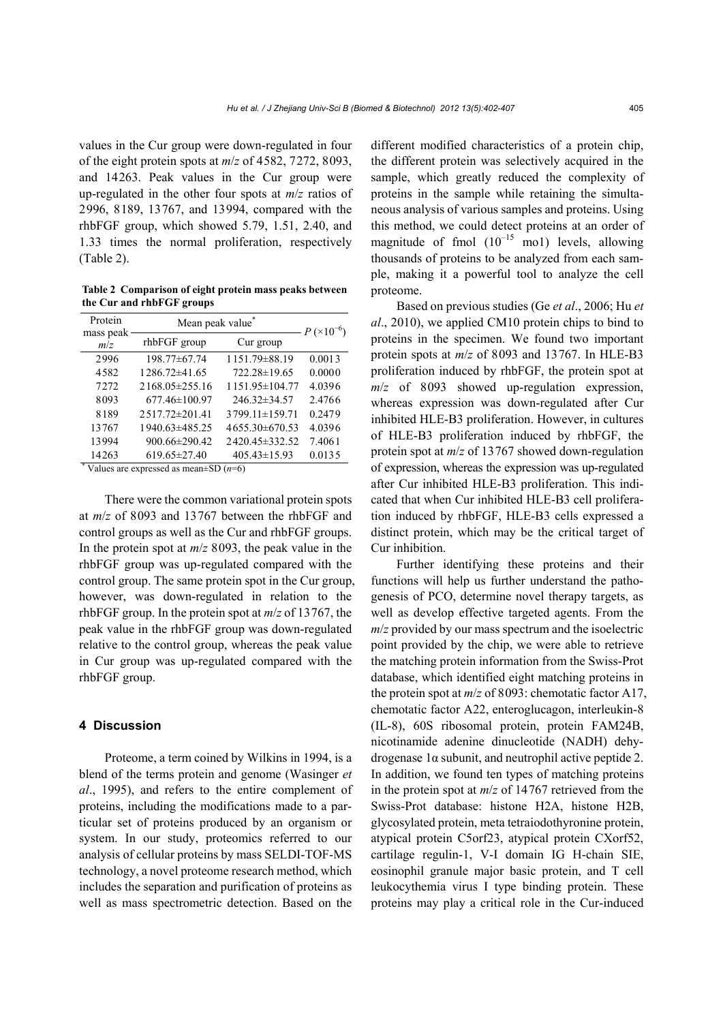values in the Cur group were down-regulated in four of the eight protein spots at *m*/*z* of 4582, 7272, 8093, and 14263. Peak values in the Cur group were up-regulated in the other four spots at *m*/*z* ratios of 2996, 8189, 13767, and 13994, compared with the rhbFGF group, which showed 5.79, 1.51, 2.40, and 1.33 times the normal proliferation, respectively (Table 2).

**Table 2 Comparison of eight protein mass peaks between the Cur and rhbFGF groups** 

| Protein          | Mean peak value <sup>®</sup> |                    | $-P (10^{-6})$ |
|------------------|------------------------------|--------------------|----------------|
| mass peak<br>m/z | rhbFGF group                 | Cur group          |                |
| 2996             | 198.77±67.74                 | 1151.79±88.19      | 0.0013         |
| 4582             | 1286.72±41.65                | 722.28±19.65       | 0.0000         |
| 7272             | $2168.05 \pm 255.16$         | 1151.95±104.77     | 4.0396         |
| 8093             | 677.46±100.97                | 246.32±34.57       | 2.4766         |
| 8189             | 2517.72±201.41               | 3799.11±159.71     | 0.2479         |
| 13767            | 1940.63±485.25               | 4655.30±670.53     | 4.0396         |
| 13994            | 900.66±290.42                | 2420.45 ± 332.52   | 7.4061         |
| 14263            | $619.65 \pm 27.40$           | $405.43 \pm 15.93$ | 0.0135         |

\* Values are expressed as mean±SD (*n*=6)

There were the common variational protein spots at *m*/*z* of 8093 and 13767 between the rhbFGF and control groups as well as the Cur and rhbFGF groups. In the protein spot at *m*/*z* 8093, the peak value in the rhbFGF group was up-regulated compared with the control group. The same protein spot in the Cur group, however, was down-regulated in relation to the rhbFGF group. In the protein spot at *m*/*z* of 13767, the peak value in the rhbFGF group was down-regulated relative to the control group, whereas the peak value in Cur group was up-regulated compared with the rhbFGF group.

## **4 Discussion**

Proteome, a term coined by Wilkins in 1994, is a blend of the terms protein and genome (Wasinger *et al*., 1995), and refers to the entire complement of proteins, including the modifications made to a particular set of proteins produced by an organism or system. In our study, proteomics referred to our analysis of cellular proteins by mass SELDI-TOF-MS technology, a novel proteome research method, which includes the separation and purification of proteins as well as mass spectrometric detection. Based on the different modified characteristics of a protein chip, the different protein was selectively acquired in the sample, which greatly reduced the complexity of proteins in the sample while retaining the simultaneous analysis of various samples and proteins. Using this method, we could detect proteins at an order of magnitude of fmol  $(10^{-15} \text{ mol})$  levels, allowing thousands of proteins to be analyzed from each sample, making it a powerful tool to analyze the cell proteome.

Based on previous studies (Ge *et al*., 2006; Hu *et al*., 2010), we applied CM10 protein chips to bind to proteins in the specimen. We found two important protein spots at *m*/*z* of 8093 and 13767. In HLE-B3 proliferation induced by rhbFGF, the protein spot at *m*/*z* of 8093 showed up-regulation expression, whereas expression was down-regulated after Cur inhibited HLE-B3 proliferation. However, in cultures of HLE-B3 proliferation induced by rhbFGF, the protein spot at *m*/*z* of 13767 showed down-regulation of expression, whereas the expression was up-regulated after Cur inhibited HLE-B3 proliferation. This indicated that when Cur inhibited HLE-B3 cell proliferation induced by rhbFGF, HLE-B3 cells expressed a distinct protein, which may be the critical target of Cur inhibition.

Further identifying these proteins and their functions will help us further understand the pathogenesis of PCO, determine novel therapy targets, as well as develop effective targeted agents. From the *m*/*z* provided by our mass spectrum and the isoelectric point provided by the chip, we were able to retrieve the matching protein information from the Swiss-Prot database, which identified eight matching proteins in the protein spot at *m*/*z* of 8093: chemotatic factor A17, chemotatic factor A22, enteroglucagon, interleukin-8 (IL-8), 60S ribosomal protein, protein FAM24B, nicotinamide adenine dinucleotide (NADH) dehydrogenase 1α subunit, and neutrophil active peptide 2. In addition, we found ten types of matching proteins in the protein spot at *m*/*z* of 14767 retrieved from the Swiss-Prot database: histone H2A, histone H2B, glycosylated protein, meta tetraiodothyronine protein, atypical protein C5orf23, atypical protein CXorf52, cartilage regulin-1, V-I domain IG H-chain SIE, eosinophil granule major basic protein, and T cell leukocythemia virus I type binding protein. These proteins may play a critical role in the Cur-induced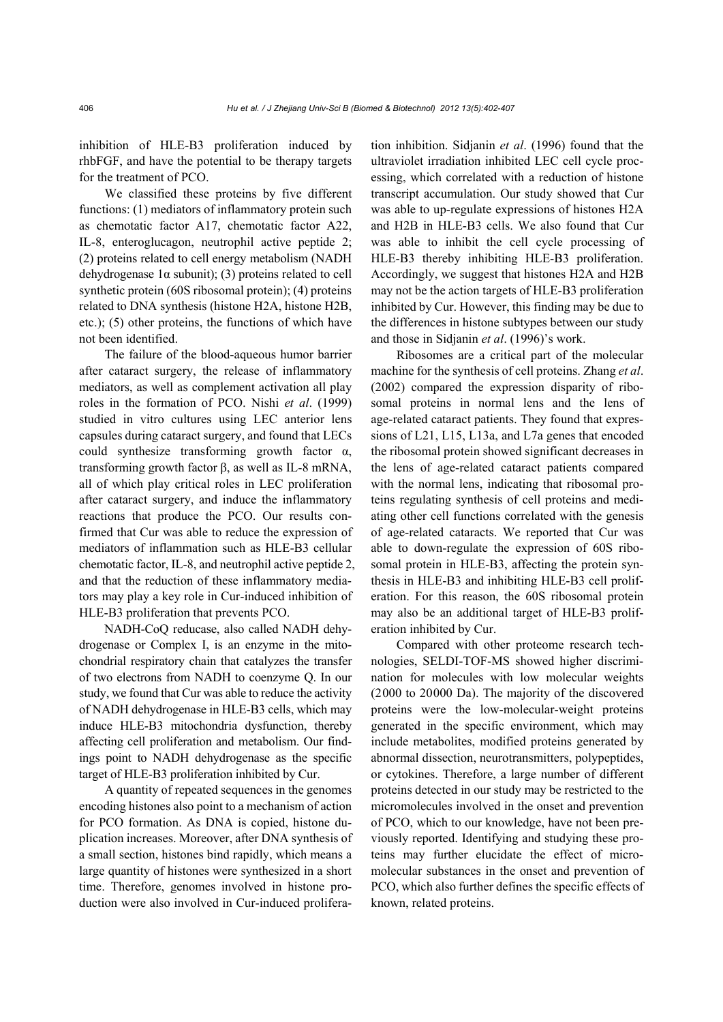inhibition of HLE-B3 proliferation induced by rhbFGF, and have the potential to be therapy targets for the treatment of PCO.

We classified these proteins by five different functions: (1) mediators of inflammatory protein such as chemotatic factor A17, chemotatic factor A22, IL-8, enteroglucagon, neutrophil active peptide 2; (2) proteins related to cell energy metabolism (NADH dehydrogenase  $1\alpha$  subunit); (3) proteins related to cell synthetic protein (60S ribosomal protein); (4) proteins related to DNA synthesis (histone H2A, histone H2B, etc.); (5) other proteins, the functions of which have not been identified.

The failure of the blood-aqueous humor barrier after cataract surgery, the release of inflammatory mediators, as well as complement activation all play roles in the formation of PCO. Nishi *et al*. (1999) studied in vitro cultures using LEC anterior lens capsules during cataract surgery, and found that LECs could synthesize transforming growth factor α, transforming growth factor β, as well as IL-8 mRNA, all of which play critical roles in LEC proliferation after cataract surgery, and induce the inflammatory reactions that produce the PCO. Our results confirmed that Cur was able to reduce the expression of mediators of inflammation such as HLE-B3 cellular chemotatic factor, IL-8, and neutrophil active peptide 2, and that the reduction of these inflammatory mediators may play a key role in Cur-induced inhibition of HLE-B3 proliferation that prevents PCO.

NADH-CoQ reducase, also called NADH dehydrogenase or Complex I, is an enzyme in the mitochondrial respiratory chain that catalyzes the transfer of two electrons from NADH to coenzyme Q. In our study, we found that Cur was able to reduce the activity of NADH dehydrogenase in HLE-B3 cells, which may induce HLE-B3 mitochondria dysfunction, thereby affecting cell proliferation and metabolism. Our findings point to NADH dehydrogenase as the specific target of HLE-B3 proliferation inhibited by Cur.

A quantity of repeated sequences in the genomes encoding histones also point to a mechanism of action for PCO formation. As DNA is copied, histone duplication increases. Moreover, after DNA synthesis of a small section, histones bind rapidly, which means a large quantity of histones were synthesized in a short time. Therefore, genomes involved in histone production were also involved in Cur-induced proliferation inhibition. Sidjanin *et al*. (1996) found that the ultraviolet irradiation inhibited LEC cell cycle processing, which correlated with a reduction of histone transcript accumulation. Our study showed that Cur was able to up-regulate expressions of histones H2A and H2B in HLE-B3 cells. We also found that Cur was able to inhibit the cell cycle processing of HLE-B3 thereby inhibiting HLE-B3 proliferation. Accordingly, we suggest that histones H2A and H2B may not be the action targets of HLE-B3 proliferation inhibited by Cur. However, this finding may be due to the differences in histone subtypes between our study and those in Sidjanin *et al*. (1996)'s work.

Ribosomes are a critical part of the molecular machine for the synthesis of cell proteins. Zhang *et al*. (2002) compared the expression disparity of ribosomal proteins in normal lens and the lens of age-related cataract patients. They found that expressions of L21, L15, L13a, and L7a genes that encoded the ribosomal protein showed significant decreases in the lens of age-related cataract patients compared with the normal lens, indicating that ribosomal proteins regulating synthesis of cell proteins and mediating other cell functions correlated with the genesis of age-related cataracts. We reported that Cur was able to down-regulate the expression of 60S ribosomal protein in HLE-B3, affecting the protein synthesis in HLE-B3 and inhibiting HLE-B3 cell proliferation. For this reason, the 60S ribosomal protein may also be an additional target of HLE-B3 proliferation inhibited by Cur.

Compared with other proteome research technologies, SELDI-TOF-MS showed higher discrimination for molecules with low molecular weights (2000 to 20000 Da). The majority of the discovered proteins were the low-molecular-weight proteins generated in the specific environment, which may include metabolites, modified proteins generated by abnormal dissection, neurotransmitters, polypeptides, or cytokines. Therefore, a large number of different proteins detected in our study may be restricted to the micromolecules involved in the onset and prevention of PCO, which to our knowledge, have not been previously reported. Identifying and studying these proteins may further elucidate the effect of micromolecular substances in the onset and prevention of PCO, which also further defines the specific effects of known, related proteins.